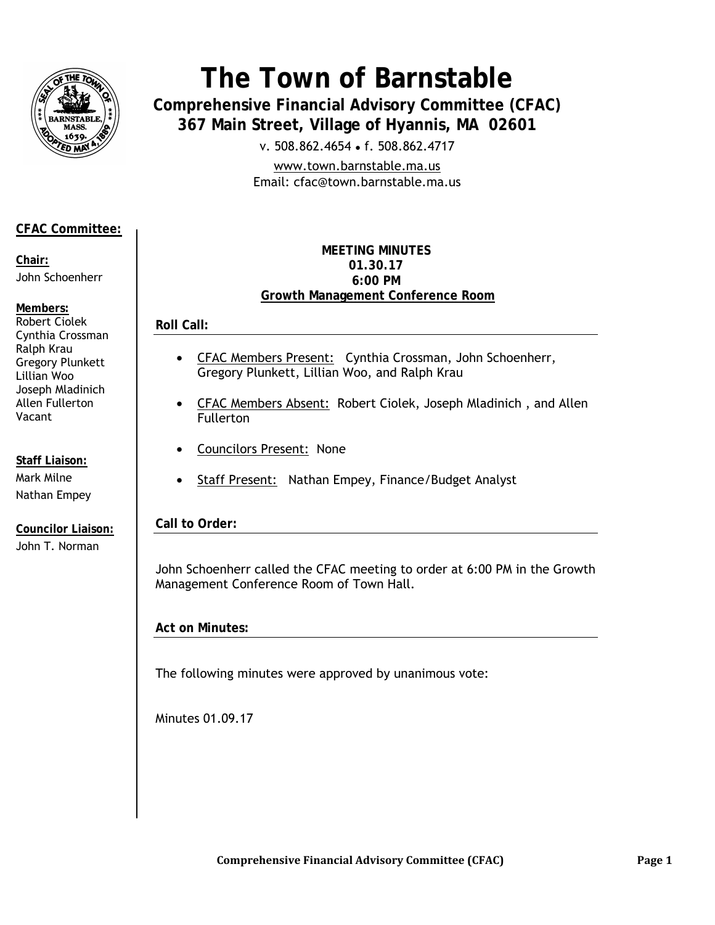

# **The Town of Barnstable**

**Comprehensive Financial Advisory Committee (CFAC) 367 Main Street, Village of Hyannis, MA 02601** 

v. 508.862.4654 • f. 508.862.4717

www.town.barnstable.ma.us Email: cfac@town.barnstable.ma.us

## **CFAC Committee:**

**Chair:**  John Schoenherr

### **Members:**

Robert Ciolek Cynthia Crossman Ralph Krau Gregory Plunkett Lillian Woo Joseph Mladinich Allen Fullerton Vacant

**Staff Liaison:**  Mark Milne Nathan Empey

**Councilor Liaison:**  John T. Norman

#### **MEETING MINUTES 01.30.17 6:00 PM Growth Management Conference Room**

## **Roll Call:**

- CFAC Members Present: Cynthia Crossman, John Schoenherr, Gregory Plunkett, Lillian Woo, and Ralph Krau
- CFAC Members Absent: Robert Ciolek, Joseph Mladinich, and Allen Fullerton
- Councilors Present:None
- Staff Present: Nathan Empey, Finance/Budget Analyst

## **Call to Order:**

John Schoenherr called the CFAC meeting to order at 6:00 PM in the Growth Management Conference Room of Town Hall.

## **Act on Minutes:**

The following minutes were approved by unanimous vote:

Minutes 01.09.17